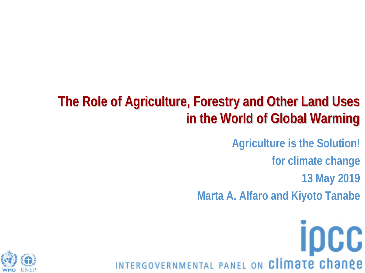### **The Role of Agriculture, Forestry and Other Land Uses in the World of Global Warming**

**Agriculture is the Solution!**

**for climate change**

**13 May 2019**

**Marta A. Alfaro and Kiyoto Tanabe**

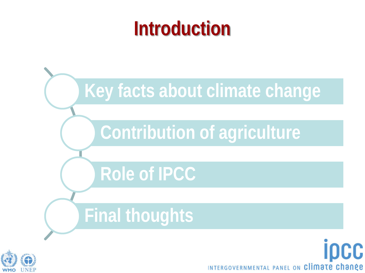### **Introduction**



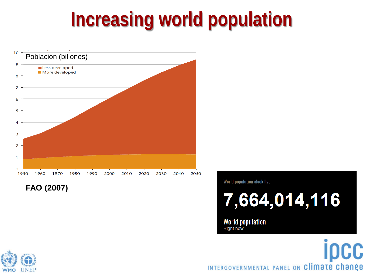### **Increasing world population**



**FAO (2007)**

World population clock live

7,664,014,116

**World population Right now** 

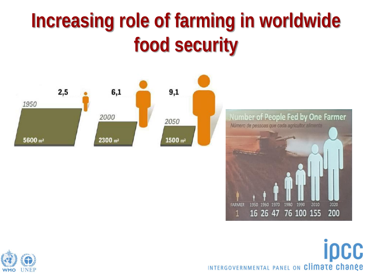## **Increasing role of farming in worldwide food security**





16 26 47 76 100 155

**FARMER** 

П

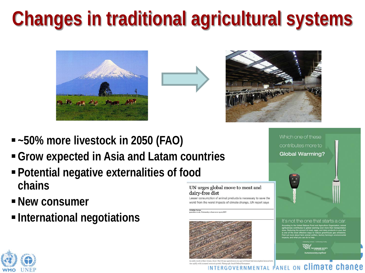# **Changes in traditional agricultural systems**





Which one of these contributes more to **Global Warming?** 

- **~50% more livestock in 2050 (FAO)**
- **Grow expected in Asia and Latam countries**
- **Potential negative externalities of food chains**
- **New consumer**
- **International negotiations**

#### UN urges global move to meat and dairy-free diet

imption of animal products is necessary to save the world from the worst impacts of climate change. UN report says

**Pelicity Caru** rus<br>uk. Wodnasday z Juna 2010 17.00 EET



semic growth. Photograph: Daniel Beltra/Groenpeace



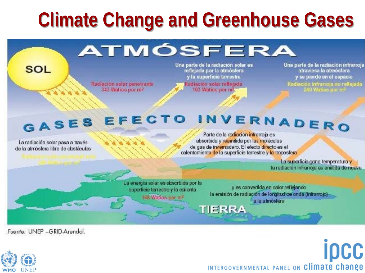### **Climate Change and Greenhouse Gases**

### ATMÓSFERA

Radiación solar penetrante 343 Watios por m<sup>2</sup>

Una parte de la radiación solar es reflejada por la atmósfera y la superficie terrestre Radiación solar reflejada 103 Watios por m<sup>2</sup>

Una parte de la radiación infrarroja atraviesa la atmósfera y se pierde en el espacio 

### GASES EFECTO INVERNADERO

La radiación solar pasa a través de la atmósfera libre de obstáculos.

**SOL** 

Parte de la radiación infrarroja es absorbida y reemitida por las moléculas de gas de invernadero. El efecto directo es el calentamiento de la superficie terrestre y la troposfera

**TIERRA** 

La superficie gana temperatura y la radiación infrarroja es emitida de nuevo

La energía solar es absorbida por la superficie terrestre y la calienta 168 Watios por m<sup>2</sup>

y es convertida en calor reflejando la emisión de radiación de longitud de onda (infrarrojo) a la atmósfera

Fuente: UNEP -GRID-Arendal.

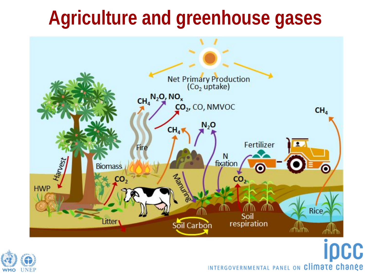### **Agriculture and greenhouse gases**



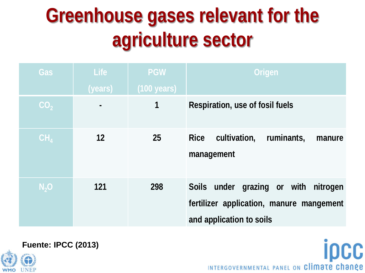## **Greenhouse gases relevant for the agriculture sector**

| <b>Gas</b>      | Life           | <b>PGW</b>            | Origen                                                                                                       |
|-----------------|----------------|-----------------------|--------------------------------------------------------------------------------------------------------------|
|                 | (years)        | $(100 \text{ years})$ |                                                                                                              |
| CO <sub>2</sub> | $\blacksquare$ | 1                     | Respiration, use of fosil fuels                                                                              |
| CH <sub>4</sub> | 12             | 25                    | <b>Rice</b><br>cultivation,<br>ruminants,<br>manure<br>management                                            |
| $N_2$ O         | 121            | 298                   | Soils under grazing or with nitrogen<br>fertilizer application, manure mangement<br>and application to soils |

**IDCC** 



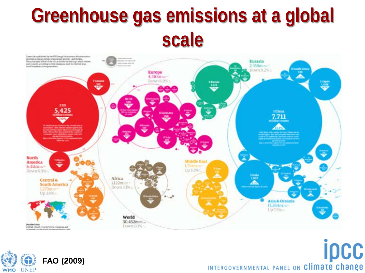### **Greenhouse gas emissions at a global scale**



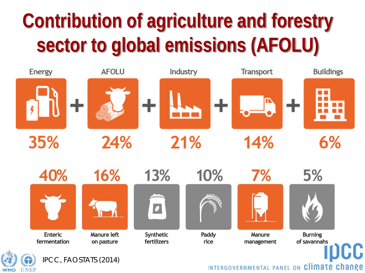# **Contribution of agriculture and forestry sector to global emissions (AFOLU)**



**UNEP** 

**WMO**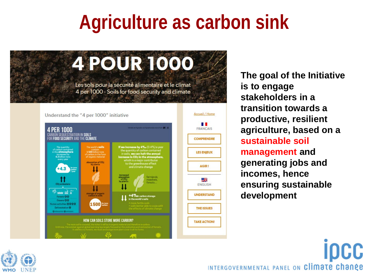### **Agriculture as carbon sink**





**The goal of the Initiative is to engage stakeholders in a transition towards a productive, resilient agriculture, based on a sustainable soil management and generating jobs and incomes, hence ensuring sustainable development**

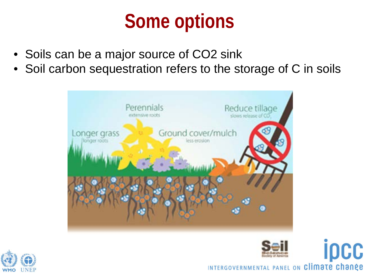### **Some options**

- Soils can be a major source of CO2 sink
- Soil carbon sequestration refers to the storage of C in soils